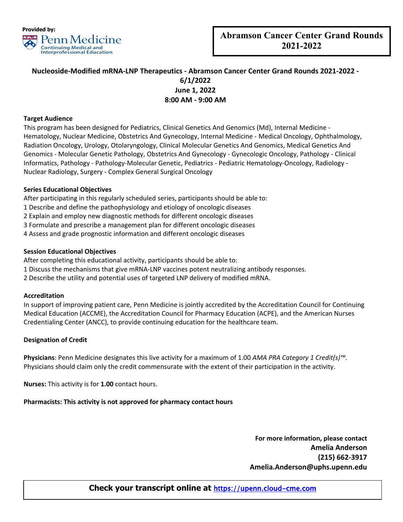

**2022**

# **Nucleoside-Modified mRNA-LNP Therapeutics - Abramson Cancer Center Grand Rounds 2021-2022 - 6/1/2022 June 1, 2022 8:00 AM - 9:00 AM**

## **Target Audience**

This program has been designed for Pediatrics, Clinical Genetics And Genomics (Md), Internal Medicine - Hematology, Nuclear Medicine, Obstetrics And Gynecology, Internal Medicine - Medical Oncology, Ophthalmology, Radiation Oncology, Urology, Otolaryngology, Clinical Molecular Genetics And Genomics, Medical Genetics And Genomics - Molecular Genetic Pathology, Obstetrics And Gynecology - Gynecologic Oncology, Pathology - Clinical Informatics, Pathology - Pathology-Molecular Genetic, Pediatrics - Pediatric Hematology-Oncology, Radiology - Nuclear Radiology, Surgery - Complex General Surgical Oncology

## **Series Educational Objectives**

After participating in this regularly scheduled series, participants should be able to:

1 Describe and define the pathophysiology and etiology of oncologic diseases

2 Explain and employ new diagnostic methods for different oncologic diseases

3 Formulate and prescribe a management plan for different oncologic diseases

4 Assess and grade prognostic information and different oncologic diseases

## **Session Educational Objectives**

After completing this educational activity, participants should be able to:

1 Discuss the mechanisms that give mRNA-LNP vaccines potent neutralizing antibody responses.

2 Describe the utility and potential uses of targeted LNP delivery of modified mRNA.

#### **Accreditation**

In support of improving patient care, Penn Medicine is jointly accredited by the Accreditation Council for Continuing Medical Education (ACCME), the Accreditation Council for Pharmacy Education (ACPE), and the American Nurses Credentialing Center (ANCC), to provide continuing education for the healthcare team.

#### **Designation of Credit**

**Physicians**: Penn Medicine designates this live activity for a maximum of 1.00 *AMA PRA Category 1 Credit(s)™*. Physicians should claim only the credit commensurate with the extent of their participation in the activity.

**Nurses:** This activity is for **1.00** contact hours.

# **Pharmacists: This activity is not approved for pharmacy contact hours**

**For more information, please contact Amelia Anderson (215) 662-3917 Amelia.Anderson@uphs.upenn.edu**

# **Check your transcript online at [https://upenn.cloud-cme.com](https://upenn.cloud-cme.com/)**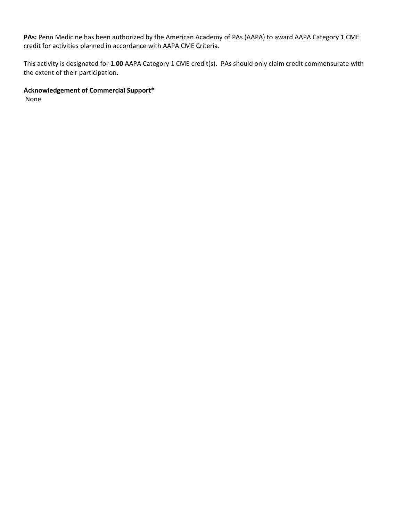**PAs:** Penn Medicine has been authorized by the American Academy of PAs (AAPA) to award AAPA Category 1 CME credit for activities planned in accordance with AAPA CME Criteria.

This activity is designated for **1.00** AAPA Category 1 CME credit(s). PAs should only claim credit commensurate with the extent of their participation.

# **Acknowledgement of Commercial Support\***

None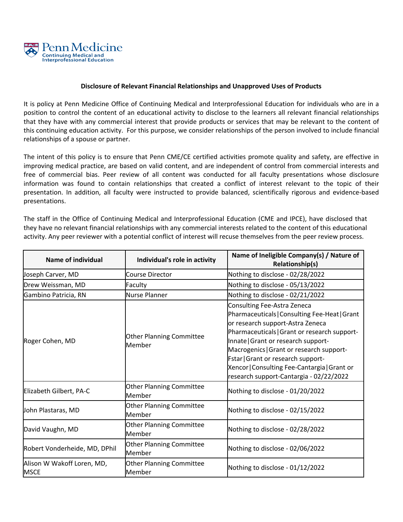

## **Disclosure of Relevant Financial Relationships and Unapproved Uses of Products**

It is policy at Penn Medicine Office of Continuing Medical and Interprofessional Education for individuals who are in a position to control the content of an educational activity to disclose to the learners all relevant financial relationships that they have with any commercial interest that provide products or services that may be relevant to the content of this continuing education activity. For this purpose, we consider relationships of the person involved to include financial relationships of a spouse or partner.

The intent of this policy is to ensure that Penn CME/CE certified activities promote quality and safety, are effective in improving medical practice, are based on valid content, and are independent of control from commercial interests and free of commercial bias. Peer review of all content was conducted for all faculty presentations whose disclosure information was found to contain relationships that created a conflict of interest relevant to the topic of their presentation. In addition, all faculty were instructed to provide balanced, scientifically rigorous and evidence-based presentations.

The staff in the Office of Continuing Medical and Interprofessional Education (CME and IPCE), have disclosed that they have no relevant financial relationships with any commercial interests related to the content of this educational activity. Any peer reviewer with a potential conflict of interest will recuse themselves from the peer review process.

| <b>Name of individual</b>                 | Individual's role in activity             | Name of Ineligible Company(s) / Nature of<br><b>Relationship(s)</b>                                                                                                                                                                                                                                                                                                                  |
|-------------------------------------------|-------------------------------------------|--------------------------------------------------------------------------------------------------------------------------------------------------------------------------------------------------------------------------------------------------------------------------------------------------------------------------------------------------------------------------------------|
| Joseph Carver, MD                         | Course Director                           | Nothing to disclose - 02/28/2022                                                                                                                                                                                                                                                                                                                                                     |
| Drew Weissman, MD                         | Faculty                                   | Nothing to disclose - 05/13/2022                                                                                                                                                                                                                                                                                                                                                     |
| Gambino Patricia, RN                      | <b>Nurse Planner</b>                      | Nothing to disclose - 02/21/2022                                                                                                                                                                                                                                                                                                                                                     |
| Roger Cohen, MD                           | <b>Other Planning Committee</b><br>Member | Consulting Fee-Astra Zeneca<br>Pharmaceuticals   Consulting Fee-Heat   Grant<br>or research support-Astra Zeneca<br>Pharmaceuticals   Grant or research support-<br>Innate   Grant or research support-<br>Macrogenics   Grant or research support-<br>Fstar   Grant or research support-<br>Xencor   Consulting Fee-Cantargia   Grant or<br>research support-Cantargia - 02/22/2022 |
| Elizabeth Gilbert, PA-C                   | <b>Other Planning Committee</b><br>Member | Nothing to disclose - 01/20/2022                                                                                                                                                                                                                                                                                                                                                     |
| John Plastaras, MD                        | <b>Other Planning Committee</b><br>Member | Nothing to disclose - 02/15/2022                                                                                                                                                                                                                                                                                                                                                     |
| David Vaughn, MD                          | <b>Other Planning Committee</b><br>Member | Nothing to disclose - 02/28/2022                                                                                                                                                                                                                                                                                                                                                     |
| Robert Vonderheide, MD, DPhil             | <b>Other Planning Committee</b><br>Member | Nothing to disclose - 02/06/2022                                                                                                                                                                                                                                                                                                                                                     |
| Alison W Wakoff Loren, MD,<br><b>MSCE</b> | <b>Other Planning Committee</b><br>Member | Nothing to disclose - 01/12/2022                                                                                                                                                                                                                                                                                                                                                     |